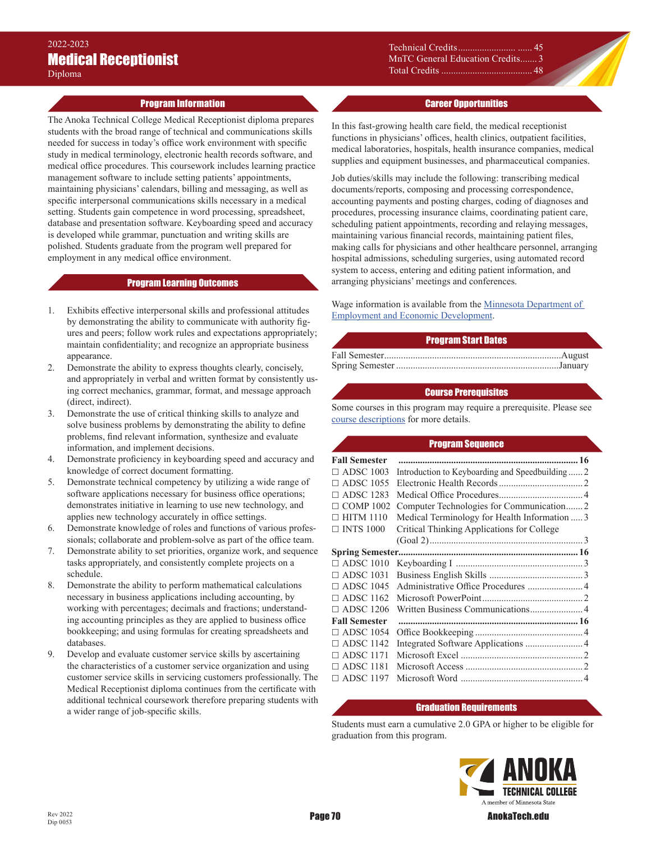## Program Information

The Anoka Technical College Medical Receptionist diploma prepares students with the broad range of technical and communications skills needed for success in today's office work environment with specific study in medical terminology, electronic health records software, and medical office procedures. This coursework includes learning practice management software to include setting patients' appointments, maintaining physicians' calendars, billing and messaging, as well as specific interpersonal communications skills necessary in a medical setting. Students gain competence in word processing, spreadsheet, database and presentation software. Keyboarding speed and accuracy is developed while grammar, punctuation and writing skills are polished. Students graduate from the program well prepared for employment in any medical office environment.

## Program Learning Outcomes

- 1. Exhibits effective interpersonal skills and professional attitudes by demonstrating the ability to communicate with authority figures and peers; follow work rules and expectations appropriately; maintain confidentiality; and recognize an appropriate business appearance.
- 2. Demonstrate the ability to express thoughts clearly, concisely, and appropriately in verbal and written format by consistently using correct mechanics, grammar, format, and message approach (direct, indirect).
- 3. Demonstrate the use of critical thinking skills to analyze and solve business problems by demonstrating the ability to define problems, find relevant information, synthesize and evaluate information, and implement decisions.
- 4. Demonstrate proficiency in keyboarding speed and accuracy and knowledge of correct document formatting.
- 5. Demonstrate technical competency by utilizing a wide range of software applications necessary for business office operations; demonstrates initiative in learning to use new technology, and applies new technology accurately in office settings.
- 6. Demonstrate knowledge of roles and functions of various professionals; collaborate and problem-solve as part of the office team.
- 7. Demonstrate ability to set priorities, organize work, and sequence tasks appropriately, and consistently complete projects on a schedule.
- 8. Demonstrate the ability to perform mathematical calculations necessary in business applications including accounting, by working with percentages; decimals and fractions; understanding accounting principles as they are applied to business office bookkeeping; and using formulas for creating spreadsheets and databases.
- 9. Develop and evaluate customer service skills by ascertaining the characteristics of a customer service organization and using customer service skills in servicing customers professionally. The Medical Receptionist diploma continues from the certificate with additional technical coursework therefore preparing students with a wider range of job-specific skills.

Technical Credits........................ ...... 45 MnTC General Education Credits ....... 3 Total Credits ...................................... 48

## Career Opportunities

In this fast-growing health care field, the medical receptionist functions in physicians' offices, health clinics, outpatient facilities, medical laboratories, hospitals, health insurance companies, medical supplies and equipment businesses, and pharmaceutical companies.

Job duties/skills may include the following: transcribing medical documents/reports, composing and processing correspondence, accounting payments and posting charges, coding of diagnoses and procedures, processing insurance claims, coordinating patient care, scheduling patient appointments, recording and relaying messages, maintaining various financial records, maintaining patient files, making calls for physicians and other healthcare personnel, arranging hospital admissions, scheduling surgeries, using automated record system to access, entering and editing patient information, and arranging physicians' meetings and conferences.

Wage information is available from the Minnesota Department of [Employment and Economic Development](https://mn.gov/deed/job-seekers/job-outlook/).

## Program Start Dates

#### Course Prerequisites

Some courses in this program may require a prerequisite. Please see [course descriptions](http://www.anokatech.edu/ProgramsCourses/CourseList_Descriptions) for more details.

#### Program Sequence

| <b>Fall Semester</b>   |                                                 |
|------------------------|-------------------------------------------------|
| $\Box$ ADSC 1003       | Introduction to Keyboarding and Speedbuilding 2 |
| $\Box$ ADSC 1055       |                                                 |
| <b>ADSC 1283</b><br>П. |                                                 |
| $\Box$ COMP 1002       | Computer Technologies for Communication2        |
| $\Box$ HITM 1110       | Medical Terminology for Health Information  3   |
| $\Box$ INTS 1000       | Critical Thinking Applications for College      |
|                        |                                                 |
|                        |                                                 |
| $\Box$ ADSC 1010       |                                                 |
| $\Box$ ADSC 1031       |                                                 |
| $\Box$ ADSC 1045       |                                                 |
| $\Box$ ADSC 1162       |                                                 |
| $\Box$ ADSC 1206       |                                                 |
| <b>Fall Semester</b>   |                                                 |
| $\Box$ ADSC 1054       |                                                 |
| $\Box$ ADSC 1142       | Integrated Software Applications  4             |
| $\Box$ ADSC 1171       |                                                 |
| $\Box$ ADSC 1181       |                                                 |
| $\Box$ ADSC 1197       |                                                 |
|                        |                                                 |

# Graduation Requirements

Students must earn a cumulative 2.0 GPA or higher to be eligible for graduation from this program.